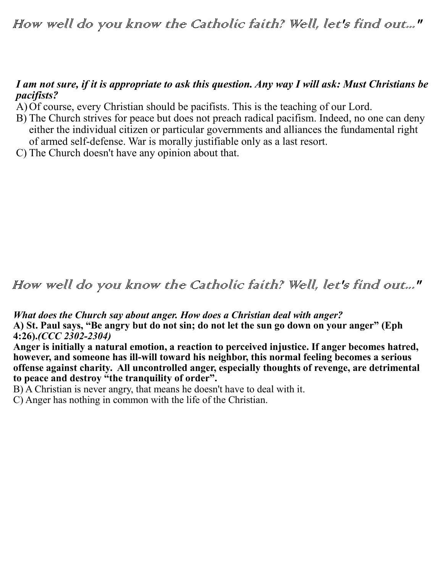How well do you know the Catholic faith? Well, let's find out..."

## *I am not sure, if it is appropriate to ask this question. Any way I will ask: Must Christians be pacifists?*

- A) Of course, every Christian should be pacifists. This is the teaching of our Lord.
- B) The Church strives for peace but does not preach radical pacifism. Indeed, no one can deny either the individual citizen or particular governments and alliances the fundamental right of armed self-defense. War is morally justifiable only as a last resort.
- C) The Church doesn't have any opinion about that.

## How well do you know the Catholic faith? Well, let's find out..."

*What does the Church say about anger. How does a Christian deal with anger?*

**A) St. Paul says, "Be angry but do not sin; do not let the sun go down on your anger" (Eph 4:26).***(CCC 2302-2304)*

**Anger is initially a natural emotion, a reaction to perceived injustice. If anger becomes hatred, however, and someone has ill-will toward his neighbor, this normal feeling becomes a serious offense against charity. All uncontrolled anger, especially thoughts of revenge, are detrimental to peace and destroy "the tranquility of order".** 

B) A Christian is never angry, that means he doesn't have to deal with it.

C) Anger has nothing in common with the life of the Christian.